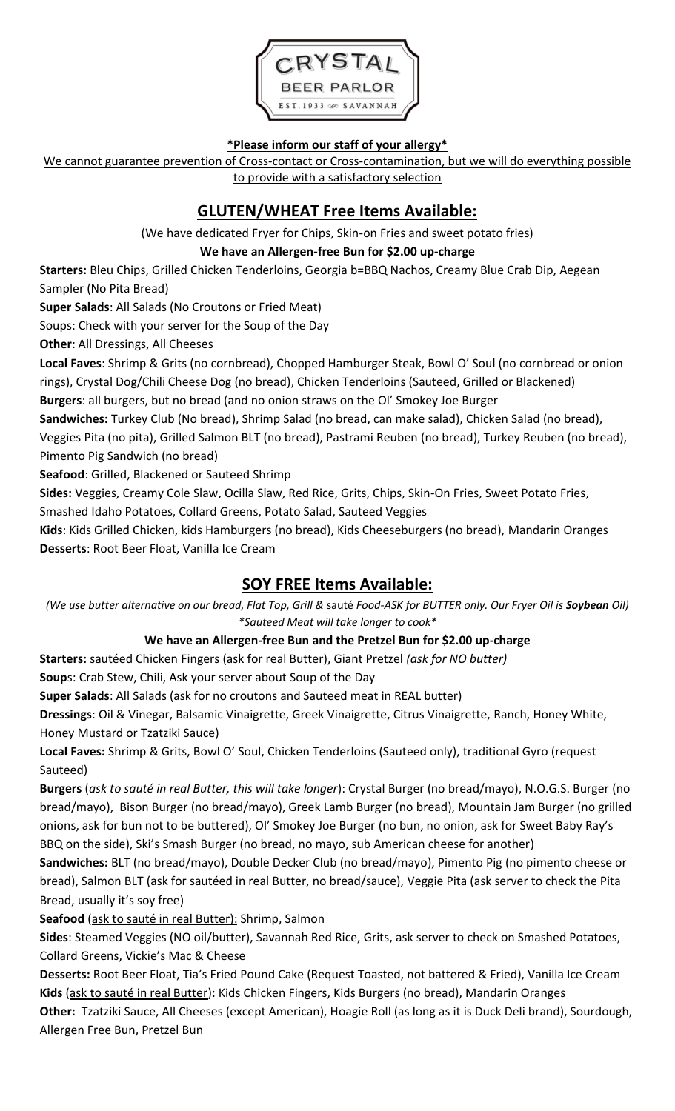

#### **\*Please inform our staff of your allergy\***

We cannot guarantee prevention of Cross-contact or Cross-contamination, but we will do everything possible to provide with a satisfactory selection

# **GLUTEN/WHEAT Free Items Available:**

(We have dedicated Fryer for Chips, Skin-on Fries and sweet potato fries)

#### **We have an Allergen-free Bun for \$2.00 up-charge**

**Starters:** Bleu Chips, Grilled Chicken Tenderloins, Georgia b=BBQ Nachos, Creamy Blue Crab Dip, Aegean Sampler (No Pita Bread)

**Super Salads**: All Salads (No Croutons or Fried Meat)

Soups: Check with your server for the Soup of the Day

**Other**: All Dressings, All Cheeses

**Local Faves**: Shrimp & Grits (no cornbread), Chopped Hamburger Steak, Bowl O' Soul (no cornbread or onion rings), Crystal Dog/Chili Cheese Dog (no bread), Chicken Tenderloins (Sauteed, Grilled or Blackened)

**Burgers**: all burgers, but no bread (and no onion straws on the Ol' Smokey Joe Burger

**Sandwiches:** Turkey Club (No bread), Shrimp Salad (no bread, can make salad), Chicken Salad (no bread), Veggies Pita (no pita), Grilled Salmon BLT (no bread), Pastrami Reuben (no bread), Turkey Reuben (no bread), Pimento Pig Sandwich (no bread)

**Seafood**: Grilled, Blackened or Sauteed Shrimp

**Sides:** Veggies, Creamy Cole Slaw, Ocilla Slaw, Red Rice, Grits, Chips, Skin-On Fries, Sweet Potato Fries,

Smashed Idaho Potatoes, Collard Greens, Potato Salad, Sauteed Veggies

**Kids**: Kids Grilled Chicken, kids Hamburgers (no bread), Kids Cheeseburgers (no bread), Mandarin Oranges **Desserts**: Root Beer Float, Vanilla Ice Cream

## **SOY FREE Items Available:**

*(We use butter alternative on our bread, Flat Top, Grill &* sauté *Food-ASK for BUTTER only. Our Fryer Oil is Soybean Oil) \*Sauteed Meat will take longer to cook\**

### **We have an Allergen-free Bun and the Pretzel Bun for \$2.00 up-charge**

**Starters:** sautéed Chicken Fingers (ask for real Butter), Giant Pretzel *(ask for NO butter)*

**Soup**s: Crab Stew, Chili, Ask your server about Soup of the Day

**Super Salads**: All Salads (ask for no croutons and Sauteed meat in REAL butter)

**Dressings**: Oil & Vinegar, Balsamic Vinaigrette, Greek Vinaigrette, Citrus Vinaigrette, Ranch, Honey White, Honey Mustard or Tzatziki Sauce)

**Local Faves:** Shrimp & Grits, Bowl O' Soul, Chicken Tenderloins (Sauteed only), traditional Gyro (request Sauteed)

**Burgers** (*ask to sauté in real Butter, this will take longer*): Crystal Burger (no bread/mayo), N.O.G.S. Burger (no bread/mayo), Bison Burger (no bread/mayo), Greek Lamb Burger (no bread), Mountain Jam Burger (no grilled onions, ask for bun not to be buttered), Ol' Smokey Joe Burger (no bun, no onion, ask for Sweet Baby Ray's BBQ on the side), Ski's Smash Burger (no bread, no mayo, sub American cheese for another)

**Sandwiches:** BLT (no bread/mayo), Double Decker Club (no bread/mayo), Pimento Pig (no pimento cheese or bread), Salmon BLT (ask for sautéed in real Butter, no bread/sauce), Veggie Pita (ask server to check the Pita Bread, usually it's soy free)

**Seafood** (ask to sauté in real Butter): Shrimp, Salmon

**Sides**: Steamed Veggies (NO oil/butter), Savannah Red Rice, Grits, ask server to check on Smashed Potatoes, Collard Greens, Vickie's Mac & Cheese

**Desserts:** Root Beer Float, Tia's Fried Pound Cake (Request Toasted, not battered & Fried), Vanilla Ice Cream **Kids** (ask to sauté in real Butter)**:** Kids Chicken Fingers, Kids Burgers (no bread), Mandarin Oranges

**Other:** Tzatziki Sauce, All Cheeses (except American), Hoagie Roll (as long as it is Duck Deli brand), Sourdough, Allergen Free Bun, Pretzel Bun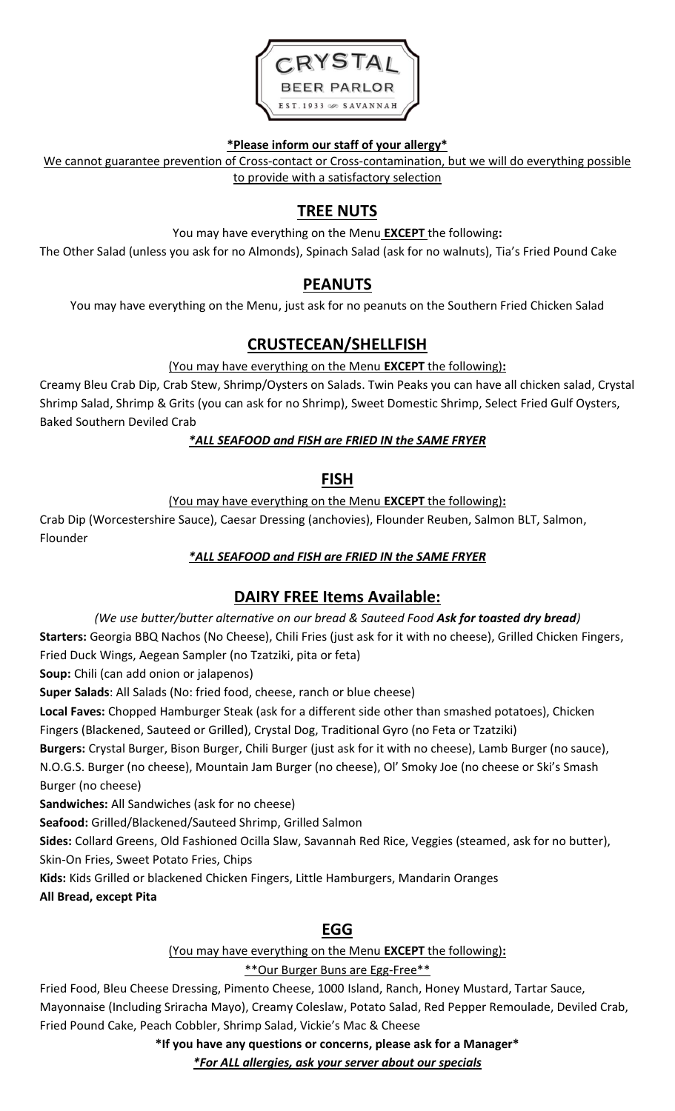

#### **\*Please inform our staff of your allergy\***

We cannot guarantee prevention of Cross-contact or Cross-contamination, but we will do everything possible to provide with a satisfactory selection

# **TREE NUTS**

You may have everything on the Menu **EXCEPT** the following**:**

The Other Salad (unless you ask for no Almonds), Spinach Salad (ask for no walnuts), Tia's Fried Pound Cake

## **PEANUTS**

You may have everything on the Menu, just ask for no peanuts on the Southern Fried Chicken Salad

# **CRUSTECEAN/SHELLFISH**

#### (You may have everything on the Menu **EXCEPT** the following)**:**

Creamy Bleu Crab Dip, Crab Stew, Shrimp/Oysters on Salads. Twin Peaks you can have all chicken salad, Crystal Shrimp Salad, Shrimp & Grits (you can ask for no Shrimp), Sweet Domestic Shrimp, Select Fried Gulf Oysters, Baked Southern Deviled Crab

#### *\*ALL SEAFOOD and FISH are FRIED IN the SAME FRYER*

#### **FISH**

(You may have everything on the Menu **EXCEPT** the following)**:**

Crab Dip (Worcestershire Sauce), Caesar Dressing (anchovies), Flounder Reuben, Salmon BLT, Salmon, Flounder

#### *\*ALL SEAFOOD and FISH are FRIED IN the SAME FRYER*

## **DAIRY FREE Items Available:**

*(We use butter/butter alternative on our bread & Sauteed Food Ask for toasted dry bread)*

**Starters:** Georgia BBQ Nachos (No Cheese), Chili Fries (just ask for it with no cheese), Grilled Chicken Fingers, Fried Duck Wings, Aegean Sampler (no Tzatziki, pita or feta)

**Soup:** Chili (can add onion or jalapenos)

**Super Salads**: All Salads (No: fried food, cheese, ranch or blue cheese)

**Local Faves:** Chopped Hamburger Steak (ask for a different side other than smashed potatoes), Chicken Fingers (Blackened, Sauteed or Grilled), Crystal Dog, Traditional Gyro (no Feta or Tzatziki)

**Burgers:** Crystal Burger, Bison Burger, Chili Burger (just ask for it with no cheese), Lamb Burger (no sauce), N.O.G.S. Burger (no cheese), Mountain Jam Burger (no cheese), Ol' Smoky Joe (no cheese or Ski's Smash Burger (no cheese)

**Sandwiches:** All Sandwiches (ask for no cheese)

**Seafood:** Grilled/Blackened/Sauteed Shrimp, Grilled Salmon

**Sides:** Collard Greens, Old Fashioned Ocilla Slaw, Savannah Red Rice, Veggies (steamed, ask for no butter), Skin-On Fries, Sweet Potato Fries, Chips

**Kids:** Kids Grilled or blackened Chicken Fingers, Little Hamburgers, Mandarin Oranges

**All Bread, except Pita** 

## **EGG**

#### (You may have everything on the Menu **EXCEPT** the following)**:**

#### \*\*Our Burger Buns are Egg-Free\*\*

Fried Food, Bleu Cheese Dressing, Pimento Cheese, 1000 Island, Ranch, Honey Mustard, Tartar Sauce, Mayonnaise (Including Sriracha Mayo), Creamy Coleslaw, Potato Salad, Red Pepper Remoulade, Deviled Crab, Fried Pound Cake, Peach Cobbler, Shrimp Salad, Vickie's Mac & Cheese

**\*If you have any questions or concerns, please ask for a Manager\***

*\*For ALL allergies, ask your server about our specials*